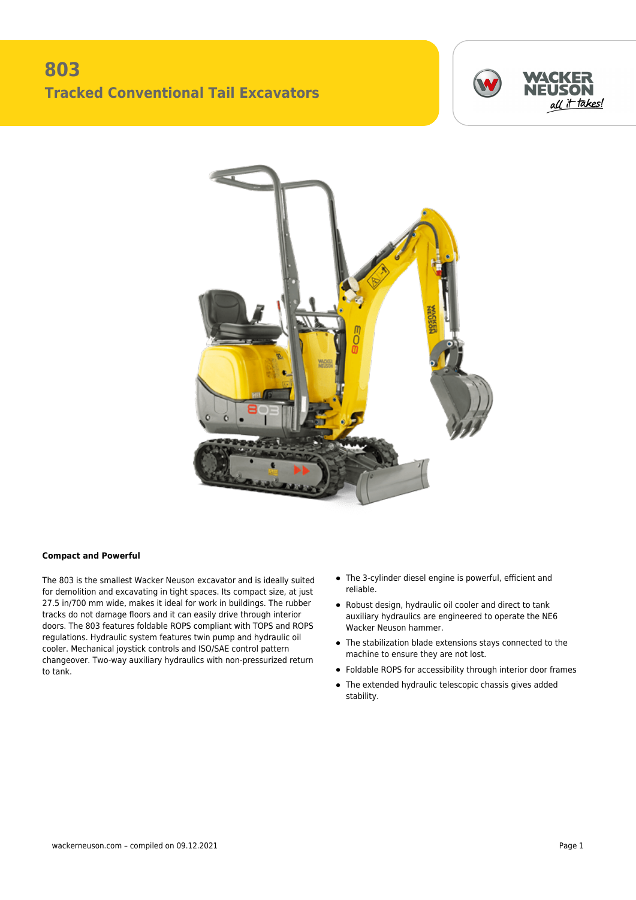## **803 Tracked Conventional Tail Excavators**





## **Compact and Powerful**

The 803 is the smallest Wacker Neuson excavator and is ideally suited for demolition and excavating in tight spaces. Its compact size, at just 27.5 in/700 mm wide, makes it ideal for work in buildings. The rubber tracks do not damage floors and it can easily drive through interior doors. The 803 features foldable ROPS compliant with TOPS and ROPS regulations. Hydraulic system features twin pump and hydraulic oil cooler. Mechanical joystick controls and ISO/SAE control pattern changeover. Two-way auxiliary hydraulics with non-pressurized return to tank.

- The 3-cylinder diesel engine is powerful, efficient and reliable.
- Robust design, hydraulic oil cooler and direct to tank auxiliary hydraulics are engineered to operate the NE6 Wacker Neuson hammer.
- The stabilization blade extensions stays connected to the machine to ensure they are not lost.
- Foldable ROPS for accessibility through interior door frames
- The extended hydraulic telescopic chassis gives added stability.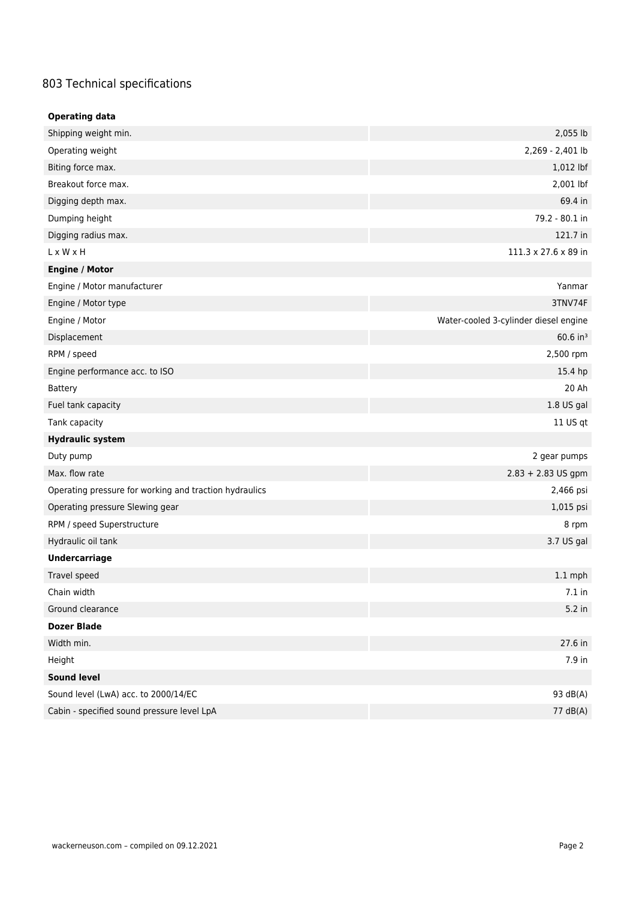## 803 Technical specifications

| <b>Operating data</b>                                  |                                       |  |
|--------------------------------------------------------|---------------------------------------|--|
| Shipping weight min.                                   | 2,055 lb                              |  |
| Operating weight                                       | 2,269 - 2,401 lb                      |  |
| Biting force max.                                      | 1,012 lbf                             |  |
| Breakout force max.                                    | 2,001 lbf                             |  |
| Digging depth max.                                     | 69.4 in                               |  |
| Dumping height                                         | 79.2 - 80.1 in                        |  |
| Digging radius max.                                    | 121.7 in                              |  |
| L x W x H                                              | 111.3 x 27.6 x 89 in                  |  |
| <b>Engine / Motor</b>                                  |                                       |  |
| Engine / Motor manufacturer                            | Yanmar                                |  |
| Engine / Motor type                                    | 3TNV74F                               |  |
| Engine / Motor                                         | Water-cooled 3-cylinder diesel engine |  |
| Displacement                                           | $60.6$ in <sup>3</sup>                |  |
| RPM / speed                                            | 2,500 rpm                             |  |
| Engine performance acc. to ISO                         | 15.4 hp                               |  |
| Battery                                                | 20 Ah                                 |  |
| Fuel tank capacity                                     | 1.8 US gal                            |  |
| Tank capacity                                          | 11 US qt                              |  |
| <b>Hydraulic system</b>                                |                                       |  |
| Duty pump                                              | 2 gear pumps                          |  |
| Max. flow rate                                         | $2.83 + 2.83$ US gpm                  |  |
| Operating pressure for working and traction hydraulics | 2,466 psi                             |  |
| Operating pressure Slewing gear                        | 1,015 psi                             |  |
| RPM / speed Superstructure                             | 8 rpm                                 |  |
| Hydraulic oil tank                                     | 3.7 US gal                            |  |
| <b>Undercarriage</b>                                   |                                       |  |
| Travel speed                                           | $1.1$ mph                             |  |
| Chain width                                            | $7.1$ in                              |  |
| Ground clearance                                       | $5.2$ in                              |  |
| <b>Dozer Blade</b>                                     |                                       |  |
| Width min.                                             | 27.6 in                               |  |
| Height                                                 | 7.9 in                                |  |
| <b>Sound level</b>                                     |                                       |  |
| Sound level (LwA) acc. to 2000/14/EC                   | 93 dB(A)                              |  |
| Cabin - specified sound pressure level LpA             | 77 dB(A)                              |  |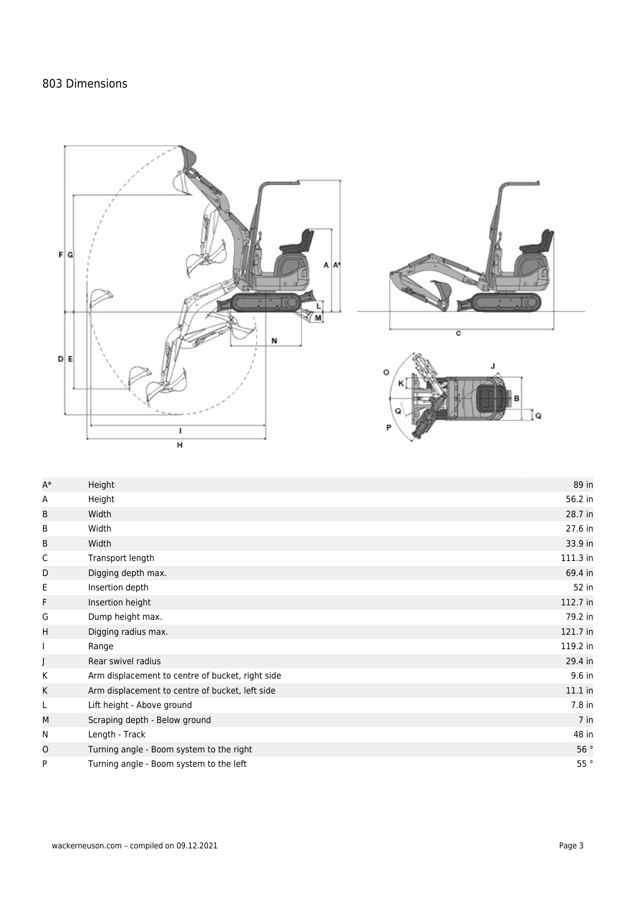## 803 Dimensions







| $A^*$ | Height                                           | 89 in         |
|-------|--------------------------------------------------|---------------|
| Α     | Height                                           | 56.2 in       |
| B     | Width                                            | 28.7 in       |
| B     | Width                                            | 27.6 in       |
| B     | Width                                            | 33.9 in       |
| C     | Transport length                                 | 111.3 in      |
| D     | Digging depth max.                               | 69.4 in       |
| E     | Insertion depth                                  | 52 in         |
| F     | Insertion height                                 | 112.7 in      |
| G     | Dump height max.                                 | 79.2 in       |
| H     | Digging radius max.                              | 121.7 in      |
| I.    | Range                                            | 119.2 in      |
|       | Rear swivel radius                               | 29.4 in       |
| K     | Arm displacement to centre of bucket, right side | 9.6 in        |
| Κ     | Arm displacement to centre of bucket, left side  | $11.1$ in     |
| L     | Lift height - Above ground                       | 7.8 in        |
| M     | Scraping depth - Below ground                    | 7 in          |
| N     | Length - Track                                   | 48 in         |
| O     | Turning angle - Boom system to the right         | 56 $^{\circ}$ |
| P     | Turning angle - Boom system to the left          | 55°           |